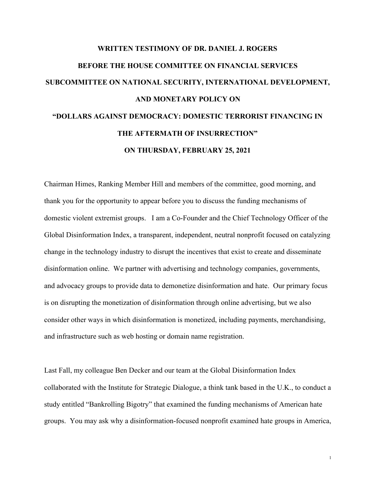## **WRITTEN TESTIMONY OF DR. DANIEL J. ROGERS BEFORE THE HOUSE COMMITTEE ON FINANCIAL SERVICES SUBCOMMITTEE ON NATIONAL SECURITY, INTERNATIONAL DEVELOPMENT, AND MONETARY POLICY ON "DOLLARS AGAINST DEMOCRACY: DOMESTIC TERRORIST FINANCING IN THE AFTERMATH OF INSURRECTION" ON THURSDAY, FEBRUARY 25, 2021**

Chairman Himes, Ranking Member Hill and members of the committee, good morning, and thank you for the opportunity to appear before you to discuss the funding mechanisms of domestic violent extremist groups. I am a Co-Founder and the Chief Technology Officer of the Global Disinformation Index, a transparent, independent, neutral nonprofit focused on catalyzing change in the technology industry to disrupt the incentives that exist to create and disseminate disinformation online. We partner with advertising and technology companies, governments, and advocacy groups to provide data to demonetize disinformation and hate. Our primary focus is on disrupting the monetization of disinformation through online advertising, but we also consider other ways in which disinformation is monetized, including payments, merchandising, and infrastructure such as web hosting or domain name registration.

Last Fall, my colleague Ben Decker and our team at the Global Disinformation Index collaborated with the Institute for Strategic Dialogue, a think tank based in the U.K., to conduct a study entitled "Bankrolling Bigotry" that examined the funding mechanisms of American hate groups. You may ask why a disinformation-focused nonprofit examined hate groups in America,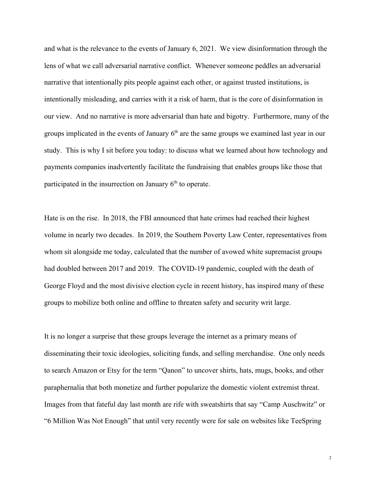and what is the relevance to the events of January 6, 2021. We view disinformation through the lens of what we call adversarial narrative conflict. Whenever someone peddles an adversarial narrative that intentionally pits people against each other, or against trusted institutions, is intentionally misleading, and carries with it a risk of harm, that is the core of disinformation in our view. And no narrative is more adversarial than hate and bigotry. Furthermore, many of the groups implicated in the events of January  $6<sup>th</sup>$  are the same groups we examined last year in our study. This is why I sit before you today: to discuss what we learned about how technology and payments companies inadvertently facilitate the fundraising that enables groups like those that participated in the insurrection on January  $6<sup>th</sup>$  to operate.

Hate is on the rise. In 2018, the FBI announced that hate crimes had reached their highest volume in nearly two decades. In 2019, the Southern Poverty Law Center, representatives from whom sit alongside me today, calculated that the number of avowed white supremacist groups had doubled between 2017 and 2019. The COVID-19 pandemic, coupled with the death of George Floyd and the most divisive election cycle in recent history, has inspired many of these groups to mobilize both online and offline to threaten safety and security writ large.

It is no longer a surprise that these groups leverage the internet as a primary means of disseminating their toxic ideologies, soliciting funds, and selling merchandise. One only needs to search Amazon or Etsy for the term "Qanon" to uncover shirts, hats, mugs, books, and other paraphernalia that both monetize and further popularize the domestic violent extremist threat. Images from that fateful day last month are rife with sweatshirts that say "Camp Auschwitz" or "6 Million Was Not Enough" that until very recently were for sale on websites like TeeSpring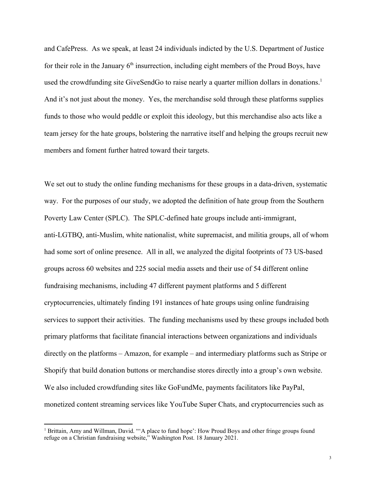and CafePress. As we speak, at least 24 individuals indicted by the U.S. Department of Justice for their role in the January  $6<sup>th</sup>$  insurrection, including eight members of the Proud Boys, have used the crowdfunding site GiveSendGo to raise nearly a quarter million dollars in donations.<sup>1</sup> And it's not just about the money. Yes, the merchandise sold through these platforms supplies funds to those who would peddle or exploit this ideology, but this merchandise also acts like a team jersey for the hate groups, bolstering the narrative itself and helping the groups recruit new members and foment further hatred toward their targets.

We set out to study the online funding mechanisms for these groups in a data-driven, systematic way. For the purposes of our study, we adopted the definition of hate group from the Southern Poverty Law Center (SPLC). The SPLC-defined hate groups include anti-immigrant, anti-LGTBQ, anti-Muslim, white nationalist, white supremacist, and militia groups, all of whom had some sort of online presence. All in all, we analyzed the digital footprints of 73 US-based groups across 60 websites and 225 social media assets and their use of 54 different online fundraising mechanisms, including 47 different payment platforms and 5 different cryptocurrencies, ultimately finding 191 instances of hate groups using online fundraising services to support their activities. The funding mechanisms used by these groups included both primary platforms that facilitate financial interactions between organizations and individuals directly on the platforms – Amazon, for example – and intermediary platforms such as Stripe or Shopify that build donation buttons or merchandise stores directly into a group's own website. We also included crowdfunding sites like GoFundMe, payments facilitators like PayPal, monetized content streaming services like YouTube Super Chats, and cryptocurrencies such as

<sup>&</sup>lt;sup>1</sup> Brittain, Amy and Willman, David. ""A place to fund hope': How Proud Boys and other fringe groups found refuge on a Christian fundraising website," Washington Post. 18 January 2021.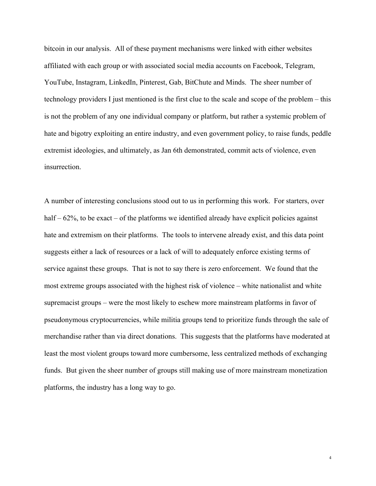bitcoin in our analysis. All of these payment mechanisms were linked with either websites affiliated with each group or with associated social media accounts on Facebook, Telegram, YouTube, Instagram, LinkedIn, Pinterest, Gab, BitChute and Minds. The sheer number of technology providers I just mentioned is the first clue to the scale and scope of the problem – this is not the problem of any one individual company or platform, but rather a systemic problem of hate and bigotry exploiting an entire industry, and even government policy, to raise funds, peddle extremist ideologies, and ultimately, as Jan 6th demonstrated, commit acts of violence, even insurrection.

A number of interesting conclusions stood out to us in performing this work. For starters, over half  $-62\%$ , to be exact  $-$  of the platforms we identified already have explicit policies against hate and extremism on their platforms. The tools to intervene already exist, and this data point suggests either a lack of resources or a lack of will to adequately enforce existing terms of service against these groups. That is not to say there is zero enforcement. We found that the most extreme groups associated with the highest risk of violence – white nationalist and white supremacist groups – were the most likely to eschew more mainstream platforms in favor of pseudonymous cryptocurrencies, while militia groups tend to prioritize funds through the sale of merchandise rather than via direct donations. This suggests that the platforms have moderated at least the most violent groups toward more cumbersome, less centralized methods of exchanging funds. But given the sheer number of groups still making use of more mainstream monetization platforms, the industry has a long way to go.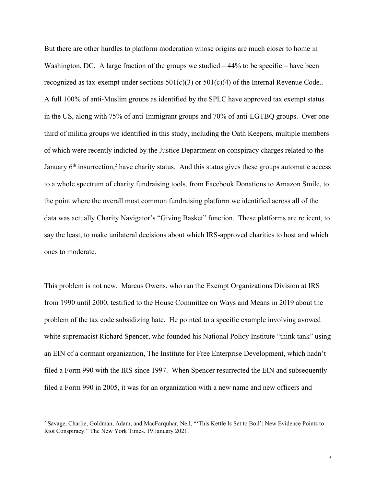But there are other hurdles to platform moderation whose origins are much closer to home in Washington, DC. A large fraction of the groups we studied – 44% to be specific – have been recognized as tax-exempt under sections  $501(c)(3)$  or  $501(c)(4)$  of the Internal Revenue Code.. A full 100% of anti-Muslim groups as identified by the SPLC have approved tax exempt status in the US, along with 75% of anti-Immigrant groups and 70% of anti-LGTBQ groups. Over one third of militia groups we identified in this study, including the Oath Keepers, multiple members of which were recently indicted by the Justice Department on conspiracy charges related to the January  $6<sup>th</sup>$  insurrection,<sup>2</sup> have charity status. And this status gives these groups automatic access to a whole spectrum of charity fundraising tools, from Facebook Donations to Amazon Smile, to the point where the overall most common fundraising platform we identified across all of the data was actually Charity Navigator's "Giving Basket" function. These platforms are reticent, to say the least, to make unilateral decisions about which IRS-approved charities to host and which ones to moderate.

This problem is not new. Marcus Owens, who ran the Exempt Organizations Division at IRS from 1990 until 2000, testified to the House Committee on Ways and Means in 2019 about the problem of the tax code subsidizing hate. He pointed to a specific example involving avowed white supremacist Richard Spencer, who founded his National Policy Institute "think tank" using an EIN of a dormant organization, The Institute for Free Enterprise Development, which hadn't filed a Form 990 with the IRS since 1997. When Spencer resurrected the EIN and subsequently filed a Form 990 in 2005, it was for an organization with a new name and new officers and

<sup>2</sup> Savage, Charlie, Goldman, Adam, and MacFarquhar, Neil, "'This Kettle Is Set to Boil': New Evidence Points to Riot Conspiracy." The New York Times. 19 January 2021.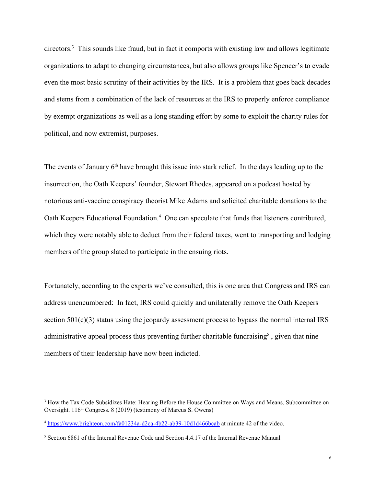directors.<sup>3</sup> This sounds like fraud, but in fact it comports with existing law and allows legitimate organizations to adapt to changing circumstances, but also allows groups like Spencer's to evade even the most basic scrutiny of their activities by the IRS. It is a problem that goes back decades and stems from a combination of the lack of resources at the IRS to properly enforce compliance by exempt organizations as well as a long standing effort by some to exploit the charity rules for political, and now extremist, purposes.

The events of January  $6<sup>th</sup>$  have brought this issue into stark relief. In the days leading up to the insurrection, the Oath Keepers' founder, Stewart Rhodes, appeared on a podcast hosted by notorious anti-vaccine conspiracy theorist Mike Adams and solicited charitable donations to the Oath Keepers Educational Foundation.<sup>4</sup> One can speculate that funds that listeners contributed, which they were notably able to deduct from their federal taxes, went to transporting and lodging members of the group slated to participate in the ensuing riots.

Fortunately, according to the experts we've consulted, this is one area that Congress and IRS can address unencumbered: In fact, IRS could quickly and unilaterally remove the Oath Keepers section  $501(c)(3)$  status using the jeopardy assessment process to bypass the normal internal IRS administrative appeal process thus preventing further charitable fundraising<sup>5</sup>, given that nine members of their leadership have now been indicted.

<sup>&</sup>lt;sup>3</sup> How the Tax Code Subsidizes Hate: Hearing Before the House Committee on Ways and Means, Subcommittee on Oversight. 116<sup>th</sup> Congress. 8 (2019) (testimony of Marcus S. Owens)

<sup>4</sup> <https://www.brighteon.com/fa01234a-d2ca-4b22-ab39-10d1d466bcab> at minute 42 of the video.

<sup>5</sup> Section 6861 of the Internal Revenue Code and Section 4.4.17 of the Internal Revenue Manual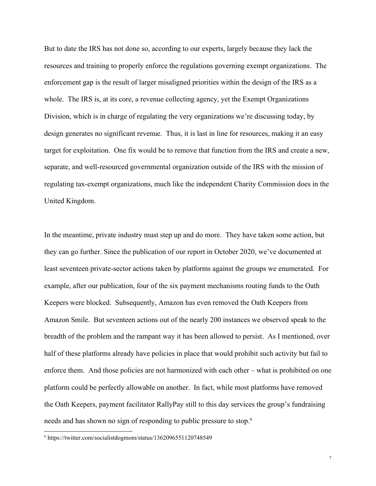But to date the IRS has not done so, according to our experts, largely because they lack the resources and training to properly enforce the regulations governing exempt organizations. The enforcement gap is the result of larger misaligned priorities within the design of the IRS as a whole. The IRS is, at its core, a revenue collecting agency, yet the Exempt Organizations Division, which is in charge of regulating the very organizations we're discussing today, by design generates no significant revenue. Thus, it is last in line for resources, making it an easy target for exploitation. One fix would be to remove that function from the IRS and create a new, separate, and well-resourced governmental organization outside of the IRS with the mission of regulating tax-exempt organizations, much like the independent Charity Commission does in the United Kingdom.

In the meantime, private industry must step up and do more. They have taken some action, but they can go further. Since the publication of our report in October 2020, we've documented at least seventeen private-sector actions taken by platforms against the groups we enumerated. For example, after our publication, four of the six payment mechanisms routing funds to the Oath Keepers were blocked. Subsequently, Amazon has even removed the Oath Keepers from Amazon Smile. But seventeen actions out of the nearly 200 instances we observed speak to the breadth of the problem and the rampant way it has been allowed to persist. As I mentioned, over half of these platforms already have policies in place that would prohibit such activity but fail to enforce them. And those policies are not harmonized with each other – what is prohibited on one platform could be perfectly allowable on another. In fact, while most platforms have removed the Oath Keepers, payment facilitator RallyPay still to this day services the group's fundraising needs and has shown no sign of responding to public pressure to stop.<sup>6</sup>

<sup>6</sup> https://twitter.com/socialistdogmom/status/1362096551120748549